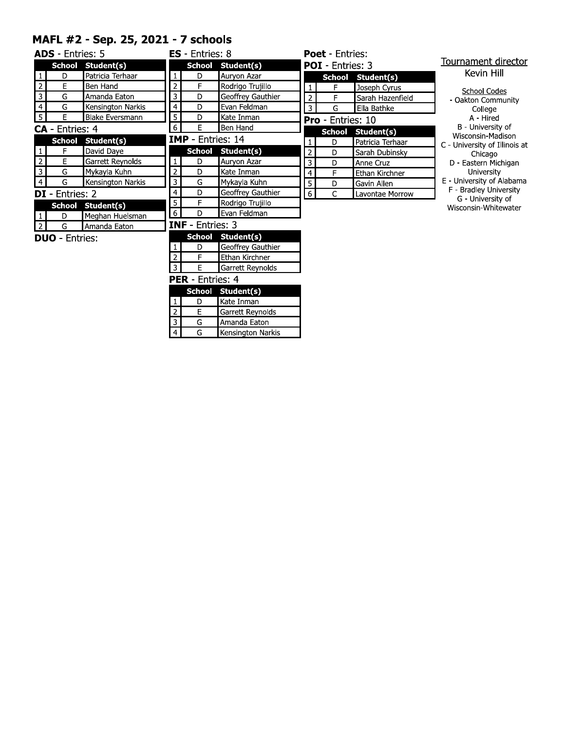#### MAFL #2 - Sep. 25, 2021 - 7 schools

|                | <b>ADS</b> - Entries: 5 |                        |                | <b>ES</b> - Entries: 8  |                   |
|----------------|-------------------------|------------------------|----------------|-------------------------|-------------------|
|                | <b>School</b>           | Student(s)             |                | <b>School</b>           | Student(s)        |
| $\mathbf{1}$   | D                       | Patricia Terhaar       | 1              | D                       | Auryon Azar       |
| 2              | E                       | Ben Hand               | $\overline{c}$ | F                       | Rodrigo Trujillo  |
| 3              | G                       | Amanda Eaton           | 3              | D                       | Geoffrey Gauthier |
| 4              | G                       | Kensington Narkis      | 4              | D                       | Evan Feldman      |
| 5              | E                       | <b>Blake Eversmann</b> | 5              | D                       | Kate Inman        |
|                | <b>CA</b> - Entries: 4  |                        | 6              | Е                       | Ben Hand          |
|                | <b>School</b>           | Student(s)             |                | IMP - Entries: 14       |                   |
| 1              | F                       | David Daye             |                | <b>School</b>           | Student(s)        |
| $\overline{2}$ | E                       | Garrett Reynolds       | 1              | D                       | Auryon Azar       |
| 3              | G                       | Mykayla Kuhn           | $\overline{c}$ | D                       | Kate Inman        |
| 4              | G                       | Kensington Narkis      | 3              | G                       | Mykayla Kuhn      |
|                | DI - Entries: 2         |                        | 4              | D                       | Geoffrey Gauthier |
|                | School                  | Student(s)             | 5              | F                       | Rodrigo Trujillo  |
| 1              | D                       | Meghan Huelsman        | 6              | D                       | Evan Feldman      |
| 2              | G                       | Amanda Eaton           |                | <b>INF</b> - Entries: 3 |                   |
|                | <b>DUO</b> - Entries:   |                        |                | <b>School</b>           | Student(s)        |
|                |                         |                        | 1              | D                       | Geoffrey Gauthier |
|                |                         |                        | $\overline{2}$ | F                       | Ethan Kirchner    |
|                |                         |                        | 3              | E                       | Garrett Reynolds  |
|                |                         |                        | ncn            |                         | Entriacu 4        |

| <b>Poet</b> - Entries: |                         |                   |     |  |  |  |  |
|------------------------|-------------------------|-------------------|-----|--|--|--|--|
|                        | <b>POI</b> - Entries: 3 |                   |     |  |  |  |  |
|                        |                         | School Student(s) |     |  |  |  |  |
| 1                      | F                       | Joseph Cyrus      |     |  |  |  |  |
| 2                      | F                       | Sarah Hazenfield  | C   |  |  |  |  |
| 3                      | G                       | Ella Bathke       |     |  |  |  |  |
|                        | Pro - Entries: 10       |                   |     |  |  |  |  |
|                        | <b>School</b>           | Student(s)        | Ν   |  |  |  |  |
| $\mathbf{1}$           | D                       | Patricia Terhaar  | U   |  |  |  |  |
| 2                      | D                       | Sarah Dubinsky    |     |  |  |  |  |
| 3                      | D                       | Anne Cruz         | D.  |  |  |  |  |
| 4                      | F                       | Ethan Kirchner    |     |  |  |  |  |
| 5                      | D                       | Gavin Allen       | U   |  |  |  |  |
|                        | Ċ                       | Lavontae Morrow   |     |  |  |  |  |
|                        |                         |                   | Wis |  |  |  |  |

### rnament director

Kevin Hill

| School Codes       |
|--------------------|
| · Oakton Community |
| College            |
| A - Hired          |

B - University of<br>Visconsin-Madison

- Jniversity of Illinois at
- Chicago<br>- Eastern Michigan
- 

- Eastern Michigan<br>University<br>University of Alabama<br>- Bradley University<br>G - University of<br>isconsin-Whitewater

#### **PER** - Entries: 4

|    | School Student(s)       |  |  |  |  |  |  |  |  |  |
|----|-------------------------|--|--|--|--|--|--|--|--|--|
| נו | Kate Inman              |  |  |  |  |  |  |  |  |  |
| F  | <b>Garrett Reynolds</b> |  |  |  |  |  |  |  |  |  |
| G  | Amanda Eaton            |  |  |  |  |  |  |  |  |  |
| G  | Kensington Narkis       |  |  |  |  |  |  |  |  |  |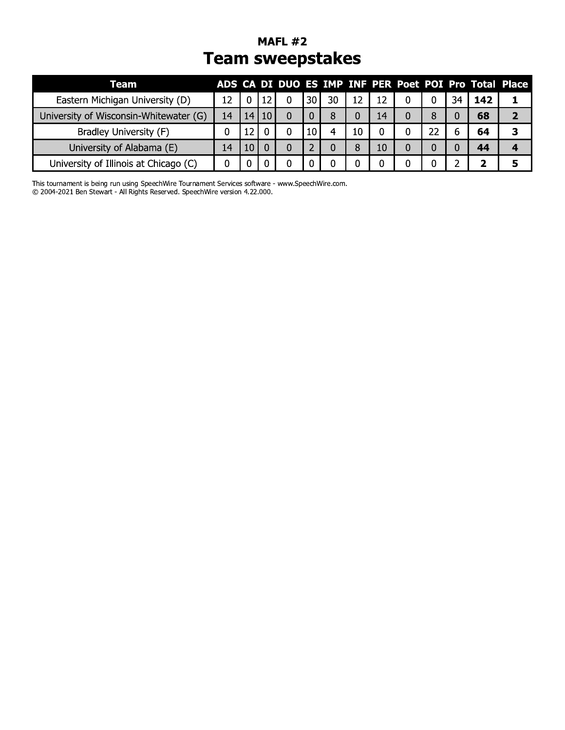## MAFL #2 **Team sweepstakes**

| Team                                   |    |    |    |   |    |    |    |    |   |    |    |     | ADS CA DI DUO ES IMP INF PER Poet POI Pro Total Place |
|----------------------------------------|----|----|----|---|----|----|----|----|---|----|----|-----|-------------------------------------------------------|
| Eastern Michigan University (D)        | 12 |    |    | 0 | 30 | 30 | 12 | 12 | 0 | 0  | 34 | 142 |                                                       |
| University of Wisconsin-Whitewater (G) | 14 | 14 | 10 | 0 |    | 8  |    | 14 | 0 | 8  |    | 68  |                                                       |
| Bradley University (F)                 |    |    |    | 0 | 10 |    | 10 |    |   | 22 | 6  | 64  |                                                       |
| University of Alabama (E)              | 14 |    |    | 0 |    |    | 8  | 10 | 0 |    |    | 44  |                                                       |
| University of Illinois at Chicago (C)  |    |    |    |   |    |    |    |    |   |    |    |     |                                                       |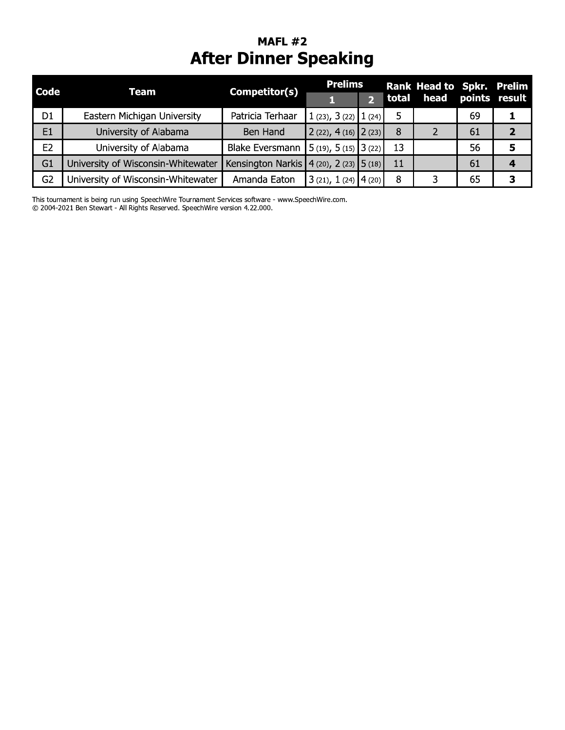## **MAFL #2 After Dinner Speaking**

| <b>Code</b>    | Team                               | Competitor(s)                               | <b>Prelims</b>                |       | <b>Rank Head to Spkr. Prelim</b> |    |                    |
|----------------|------------------------------------|---------------------------------------------|-------------------------------|-------|----------------------------------|----|--------------------|
|                |                                    |                                             |                               | total |                                  |    | head points result |
| D <sub>1</sub> | Eastern Michigan University        | Patricia Terhaar                            | 1 (23), 3 (22) $ 1(24) $      |       |                                  | 69 |                    |
| E1             | University of Alabama              | Ben Hand                                    | $2(22), 4(16)$ $2(23)$        | 8     | 2                                | 61 |                    |
| E <sub>2</sub> | University of Alabama              | <b>Blake Eversmann</b>                      | $\vert$ 5 (19), 5 (15) 3 (22) | 13    |                                  | 56 | 5                  |
| G <sub>1</sub> | University of Wisconsin-Whitewater | Kensington Narkis   4 (20), 2 (23)   5 (18) |                               | 11    |                                  | 61 |                    |
| G <sub>2</sub> | University of Wisconsin-Whitewater | Amanda Eaton                                | $3(21), 1(24)$ 4(20)          | 8     | 3                                | 65 | 3                  |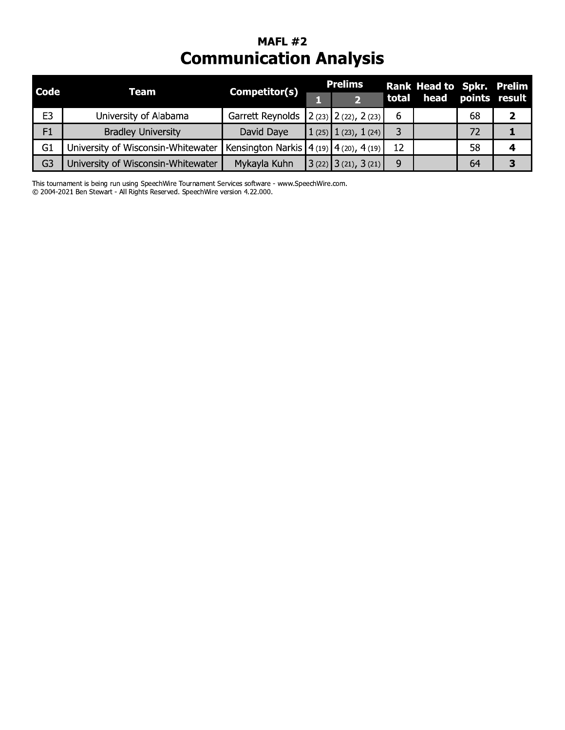## **MAFL #2 Communication Analysis**

| <b>Code</b>    | Team                               | Competitor(s)                                   | <b>Prelims</b>                        |       | Rank Head to Spkr. Prelim |    |                    |
|----------------|------------------------------------|-------------------------------------------------|---------------------------------------|-------|---------------------------|----|--------------------|
|                |                                    |                                                 |                                       | total |                           |    | head points result |
| E <sub>3</sub> | University of Alabama              | Garrett Reynolds                                | $\vert$ 2 (23) $\vert$ 2 (22), 2 (23) | b     |                           | 68 |                    |
| F1             | <b>Bradley University</b>          | David Daye                                      | $1(25)$ $1(23)$ , $1(24)$             |       |                           | 72 |                    |
| G1             | University of Wisconsin-Whitewater | Kensington Narkis   $4(19)$   $4(20)$ , $4(19)$ |                                       | 12    |                           | 58 |                    |
| G <sub>3</sub> | University of Wisconsin-Whitewater | Mykayla Kuhn                                    | $3(22)$ $3(21)$ , $3(21)$             | 9     |                           | 64 |                    |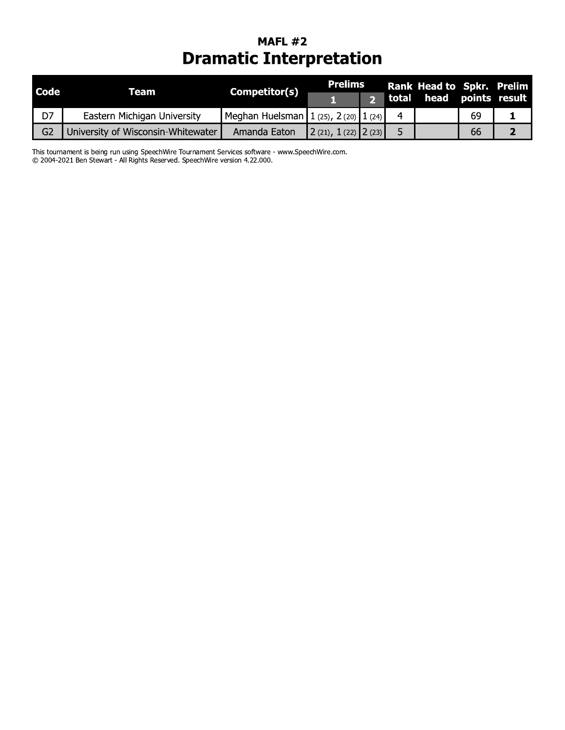## **MAFL #2 Dramatic Interpretation**

| <b>Code</b>    | Team                               | <b>Competitor(s)</b>                        | Prelims                   | Rank Head to Spkr. Prelim |  |    |                    |
|----------------|------------------------------------|---------------------------------------------|---------------------------|---------------------------|--|----|--------------------|
|                |                                    |                                             |                           | total                     |  |    | head points result |
| D7             | Eastern Michigan University        | Meghan Huelsman   1 (25), $2$ (20)   1 (24) |                           |                           |  | 69 |                    |
| G <sub>2</sub> | University of Wisconsin-Whitewater | Amanda Eaton                                | $\ 2(21), 1(22)\ 2(23)\ $ |                           |  | 66 |                    |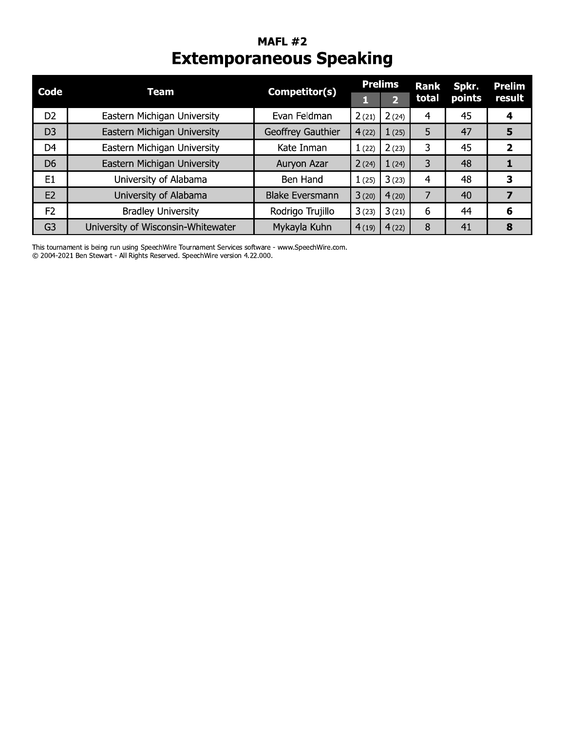## **MAFL #2 Extemporaneous Speaking**

| Code           | <b>Team</b>                        | Competitor(s)          | <b>Prelims</b> |                         | <b>Rank</b> | Spkr.  | <b>Prelim</b> |  |
|----------------|------------------------------------|------------------------|----------------|-------------------------|-------------|--------|---------------|--|
|                |                                    |                        |                | $\overline{\mathbf{2}}$ | total       | points | result        |  |
| D <sub>2</sub> | Eastern Michigan University        | Evan Feldman           | 2(21)          | 2(24)                   | 4           | 45     | 4             |  |
| D <sub>3</sub> | Eastern Michigan University        | Geoffrey Gauthier      | 4(22)          | 1(25)                   | 5           | 47     | 5             |  |
| D <sub>4</sub> | Eastern Michigan University        | Kate Inman             | 1(22)          | 2(23)                   | 3           | 45     | 2             |  |
| D <sub>6</sub> | Eastern Michigan University        | Auryon Azar            | 2(24)          | 1(24)                   | 3           | 48     |               |  |
| E1             | University of Alabama              | Ben Hand               | 1(25)          | 3(23)                   | 4           | 48     | 3             |  |
| E2             | University of Alabama              | <b>Blake Eversmann</b> | 3(20)          | 4(20)                   |             | 40     | 7             |  |
| F <sub>2</sub> | <b>Bradley University</b>          | Rodrigo Trujillo       | 3(23)          | 3(21)                   | 6           | 44     | 6             |  |
| G <sub>3</sub> | University of Wisconsin-Whitewater | Mykayla Kuhn           | 4(19)          | 4(22)                   | 8           | 41     | 8             |  |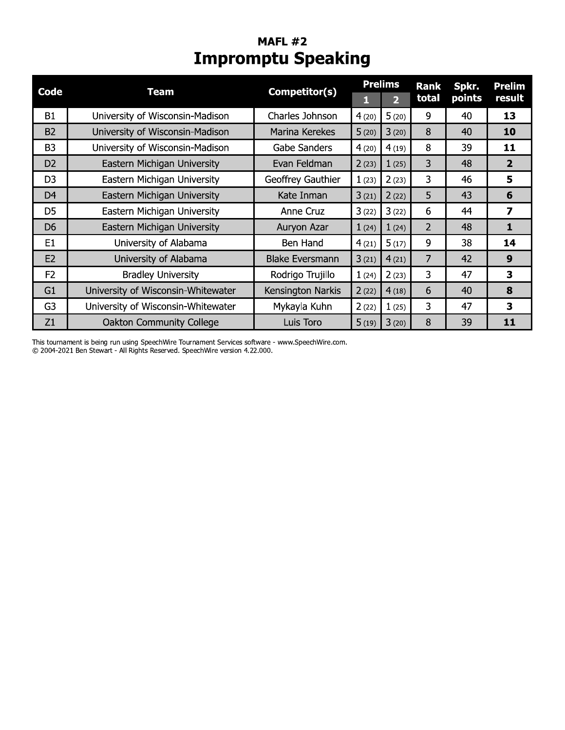## **MAFL #2 Impromptu Speaking**

| Code           | Team                               | Competitor(s)          |       | <b>Prelims</b>          | <b>Rank</b>    | Spkr.  | <b>Prelim</b>  |
|----------------|------------------------------------|------------------------|-------|-------------------------|----------------|--------|----------------|
|                |                                    |                        | н     | $\overline{\mathbf{2}}$ | total          | points | result         |
| <b>B1</b>      | University of Wisconsin-Madison    | Charles Johnson        | 4(20) | 5(20)                   | 9              | 40     | 13             |
| <b>B2</b>      | University of Wisconsin-Madison    | Marina Kerekes         | 5(20) | 3(20)                   | 8              | 40     | 10             |
| B <sub>3</sub> | University of Wisconsin-Madison    | Gabe Sanders           | 4(20) | 4(19)                   | 8              | 39     | 11             |
| D <sub>2</sub> | Eastern Michigan University        | Evan Feldman           | 2(23) | 1(25)                   | 3              | 48     | $\overline{2}$ |
| D <sub>3</sub> | Eastern Michigan University        | Geoffrey Gauthier      | 1(23) | 2(23)                   | 3              | 46     | 5              |
| D <sub>4</sub> | Eastern Michigan University        | Kate Inman             | 3(21) | 2(22)                   | 5              | 43     | 6              |
| D <sub>5</sub> | Eastern Michigan University        | Anne Cruz              | 3(22) | 3(22)                   | 6              | 44     | 7              |
| D <sub>6</sub> | Eastern Michigan University        | Auryon Azar            | 1(24) | 1(24)                   | $\overline{2}$ | 48     | 1              |
| E <sub>1</sub> | University of Alabama              | Ben Hand               | 4(21) | 5(17)                   | 9              | 38     | 14             |
| E <sub>2</sub> | University of Alabama              | <b>Blake Eversmann</b> | 3(21) | 4(21)                   | $\overline{7}$ | 42     | 9              |
| F <sub>2</sub> | <b>Bradley University</b>          | Rodrigo Trujillo       | 1(24) | 2(23)                   | 3              | 47     | 3              |
| G1             | University of Wisconsin-Whitewater | Kensington Narkis      | 2(22) | 4(18)                   | 6              | 40     | 8              |
| G <sub>3</sub> | University of Wisconsin-Whitewater | Mykayla Kuhn           | 2(22) | 1(25)                   | 3              | 47     | 3              |
| Z1             | <b>Oakton Community College</b>    | Luis Toro              | 5(19) | 3(20)                   | 8              | 39     | 11             |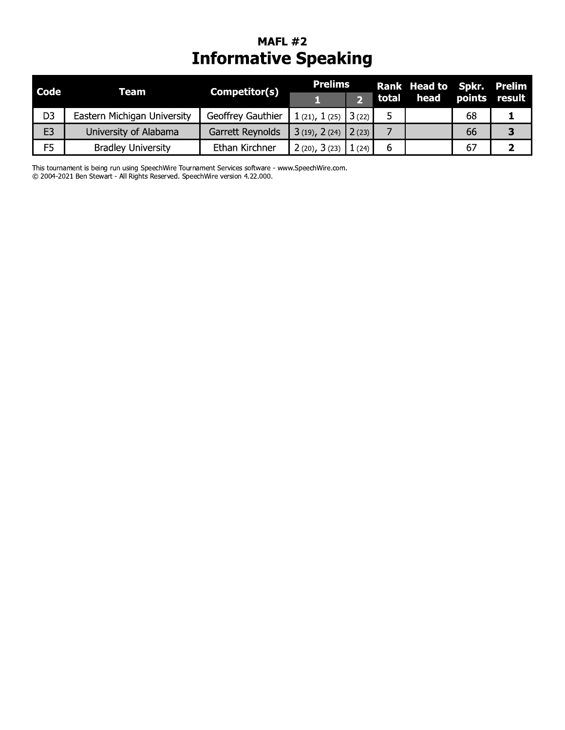## **MAFL #2 Informative Speaking**

| <b>Code</b>    | <b>Team</b>                 | Competitor(s)     | <b>Prelims</b>        |                                | Rank Head to Spkr. Prelim |    |               |
|----------------|-----------------------------|-------------------|-----------------------|--------------------------------|---------------------------|----|---------------|
|                |                             |                   |                       |                                | total head                |    | points result |
| D <sub>3</sub> | Eastern Michigan University | Geoffrey Gauthier | $1(21), 1(25)$ 3(22)  |                                |                           | 68 |               |
| E <sub>3</sub> | University of Alabama       | Garrett Reynolds  | $3(19)$ , 2(24) 2(23) |                                |                           | 66 |               |
| F <sub>5</sub> | <b>Bradley University</b>   | Ethan Kirchner    | 2(20), 3(23)          | $\parallel$ 1 (24) $\parallel$ |                           | 67 |               |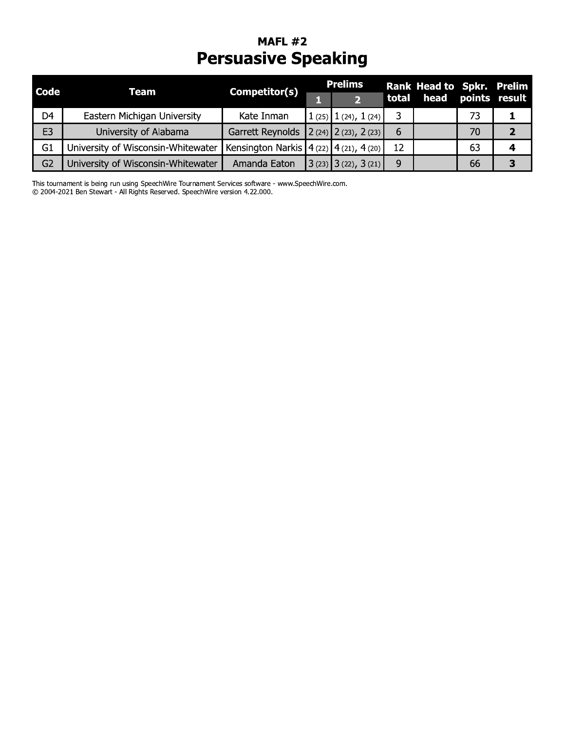## MAFL #2 **Persuasive Speaking**

| <b>Code</b>    | Team                               | Competitor(s)                                   | <b>Prelims</b>            | Rank Head to Spkr. Prelim |  |    |                    |
|----------------|------------------------------------|-------------------------------------------------|---------------------------|---------------------------|--|----|--------------------|
|                |                                    |                                                 |                           | total                     |  |    | head points result |
| D4             | Eastern Michigan University        | Kate Inman                                      | $1(25)$ $1(24)$ , $1(24)$ |                           |  | 73 |                    |
| E <sub>3</sub> | University of Alabama              | Garrett Reynolds                                | $\ 2(24)\ 2(23), 2(23)\ $ | 6                         |  | 70 |                    |
| G1             | University of Wisconsin-Whitewater | Kensington Narkis   $4(22)$   $4(21)$ , $4(20)$ |                           | 12                        |  | 63 |                    |
| G <sub>2</sub> | University of Wisconsin-Whitewater | Amanda Eaton                                    | $3(23)$ $3(22)$ , $3(21)$ | 9                         |  | 66 |                    |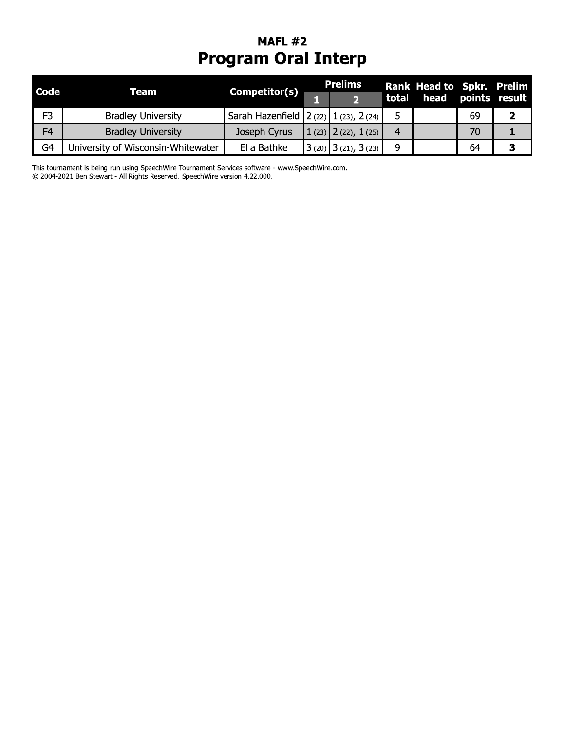## **MAFL #2 Program Oral Interp**

| <b>Code</b>    | Team                               | Competitor(s)                            | <b>Prelims</b>            |       | Rank Head to Spkr. Prelim |    |  |
|----------------|------------------------------------|------------------------------------------|---------------------------|-------|---------------------------|----|--|
|                |                                    |                                          |                           | total | head points result        |    |  |
| F <sub>3</sub> | <b>Bradley University</b>          | Sarah Hazenfield 2 (22) $1$ (23), 2 (24) |                           |       |                           | 69 |  |
| F <sub>4</sub> | <b>Bradley University</b>          | Joseph Cyrus                             | $1(23)$ $2(22)$ , $1(25)$ | 4     |                           | 70 |  |
| G <sub>4</sub> | University of Wisconsin-Whitewater | Ella Bathke                              | $3(20)$ 3(21), 3(23)      | q     |                           | 64 |  |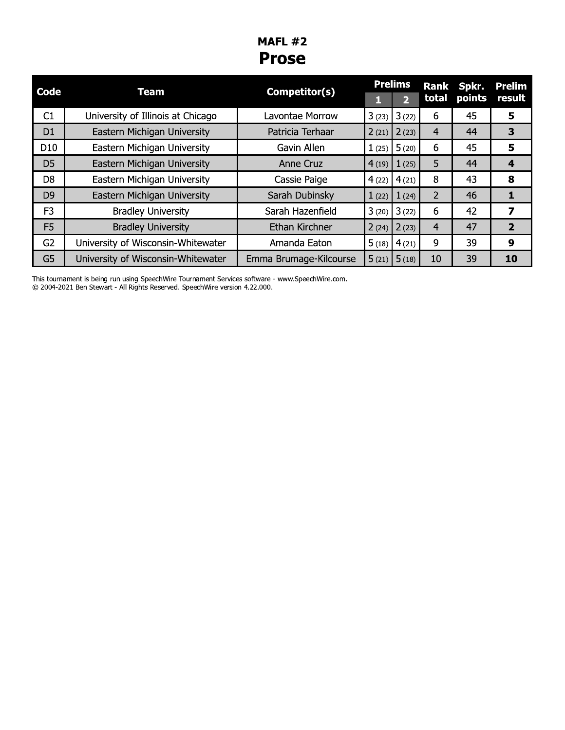### **MAFL #2 Prose**

| <b>Code</b>     |                                    |                        |       | <b>Prelims</b> |                | Rank Spkr. | <b>Prelim</b>    |
|-----------------|------------------------------------|------------------------|-------|----------------|----------------|------------|------------------|
|                 | <b>Team</b>                        | Competitor(s)          |       | $\overline{2}$ | total          | points     | result           |
| C1              | University of Illinois at Chicago  | Lavontae Morrow        | 3(23) | 3(22)          | 6              | 45         | 5                |
| D <sub>1</sub>  | Eastern Michigan University        | Patricia Terhaar       | 2(21) | 2(23)          | $\overline{4}$ | 44         | 3                |
| D <sub>10</sub> | Eastern Michigan University        | Gavin Allen            | 1(25) | 5(20)          | 6              | 45         | 5                |
| D <sub>5</sub>  | Eastern Michigan University        | Anne Cruz              | 4(19) | 1(25)          | 5              | 44         | $\boldsymbol{4}$ |
| D <sub>8</sub>  | Eastern Michigan University        | Cassie Paige           | 4(22) | 4(21)          | 8              | 43         | 8                |
| D <sub>9</sub>  | Eastern Michigan University        | Sarah Dubinsky         | 1(22) | 1(24)          | $\overline{2}$ | 46         | 1                |
| F <sub>3</sub>  | <b>Bradley University</b>          | Sarah Hazenfield       | 3(20) | 3(22)          | 6              | 42         | 7                |
| F <sub>5</sub>  | <b>Bradley University</b>          | Ethan Kirchner         | 2(24) | 2(23)          | $\overline{4}$ | 47         | $\overline{2}$   |
| G <sub>2</sub>  | University of Wisconsin-Whitewater | Amanda Eaton           | 5(18) | 4(21)          | 9              | 39         | 9                |
| G <sub>5</sub>  | University of Wisconsin-Whitewater | Emma Brumage-Kilcourse | 5(21) | 5(18)          | 10             | 39         | 10               |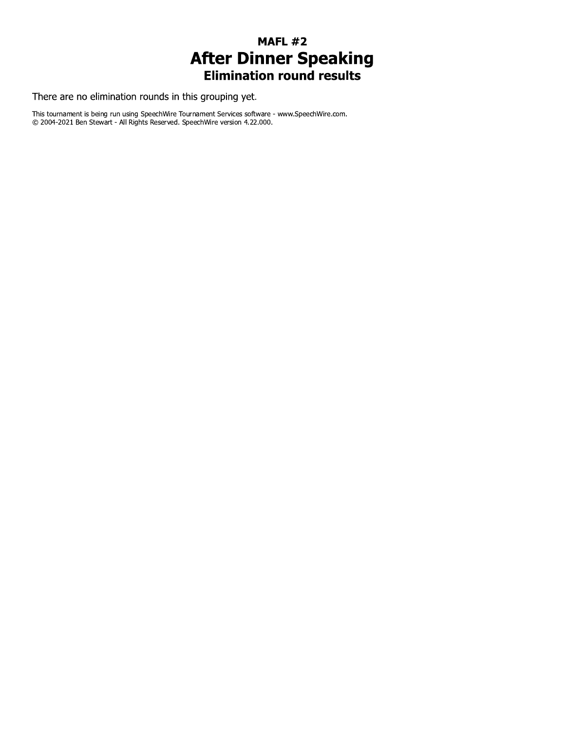# **MAFL #2 After Dinner Speaking**<br>**Elimination round results**

There are no elimination rounds in this grouping yet.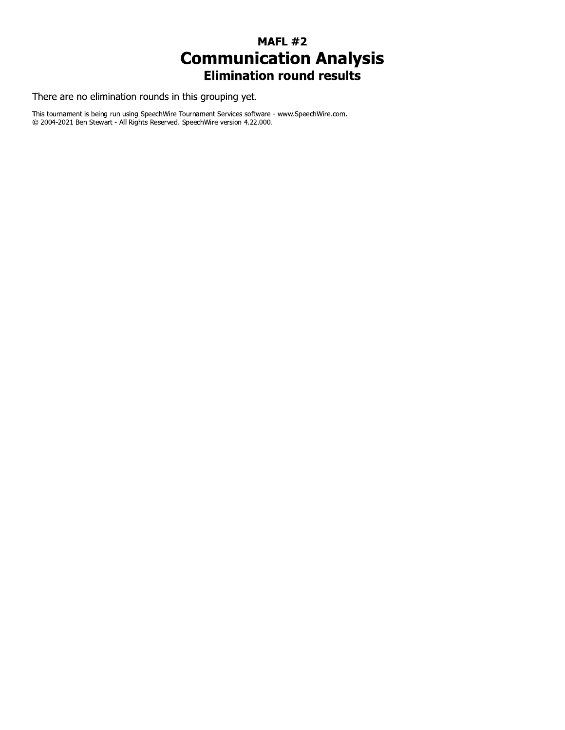#### **MAFL #2 Communication Analysis Elimination round results**

There are no elimination rounds in this grouping yet.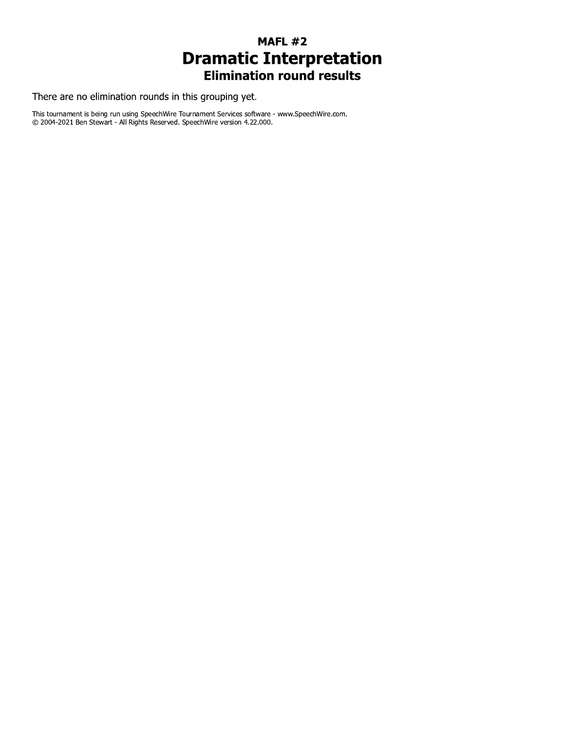## **MAFL #2 Dramatic Interpretation**<br>Elimination round results

There are no elimination rounds in this grouping yet.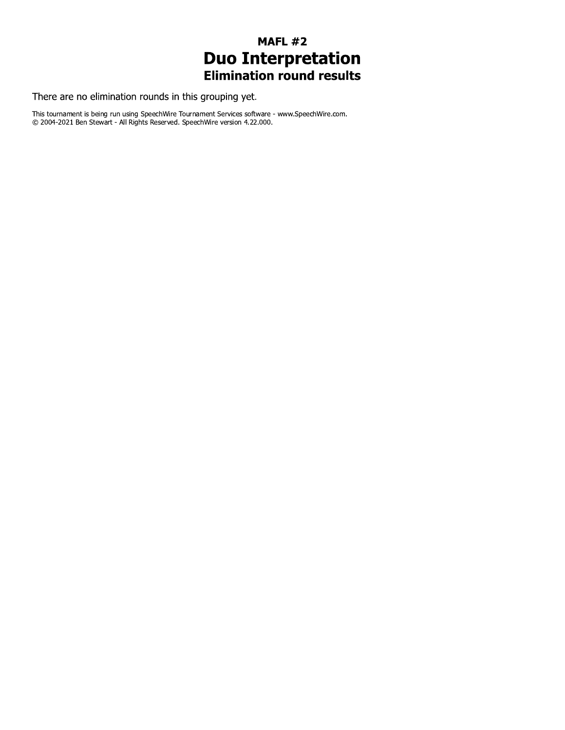## **MAFL #2 Duo Interpretation**<br>Elimination round results

There are no elimination rounds in this grouping yet.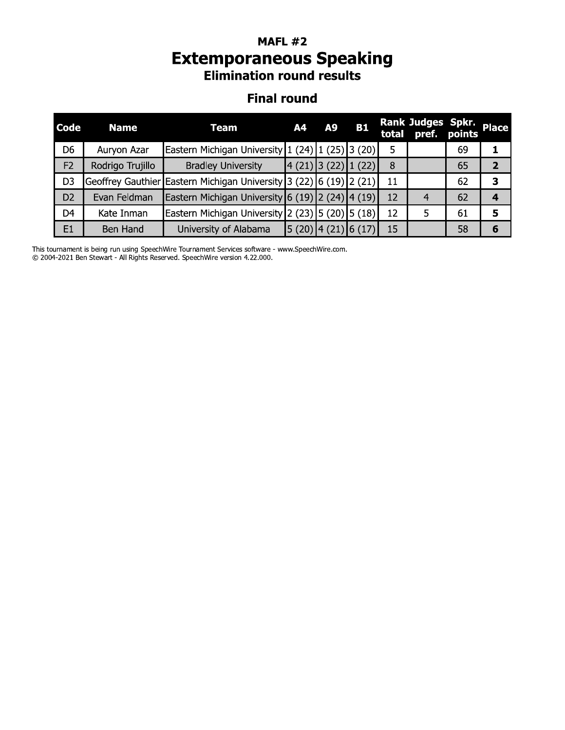### MAFL  $\#Z$ Extemporaneous speaking **Elimination round results**

#### **Final round**

| Code           | <b>Name</b>       | <b>Team</b>                                                                                            | A4             | A9 | <b>B1</b>          | total | <b>Rank Judges Spkr.</b><br>pref. | points | <b>Place</b>   |
|----------------|-------------------|--------------------------------------------------------------------------------------------------------|----------------|----|--------------------|-------|-----------------------------------|--------|----------------|
| D <sub>6</sub> | Auryon Azar       | Eastern Michigan University $\left  \frac{1}{24} \right  \left  \frac{25}{12} \right $ (20)            |                |    |                    | 5     |                                   | 69     | 1              |
| F <sub>2</sub> | Rodrigo Trujillo  | <b>Bradley University</b>                                                                              | $4(21)$ 3 (22) |    | 1(22)              | 8     |                                   | 65     | $\overline{2}$ |
| D <sub>3</sub> | Geoffrey Gauthier | Eastern Michigan University 3 (22) 6 (19) 2 (21)                                                       |                |    |                    | 11    |                                   | 62     | 3              |
| D <sub>2</sub> | Evan Feldman      | Eastern Michigan University 6 (19) 2 (24) $\vert$ 4 (19)                                               |                |    |                    | 12    | $\overline{4}$                    | 62     | 4              |
| D <sub>4</sub> | Kate Inman        | Eastern Michigan University $\left 2\right\rangle(23)\left 5\right\rangle(20)\left 5\right\rangle(18)$ |                |    |                    | 12    | 5.                                | 61     | 5              |
| E1             | Ben Hand          | University of Alabama                                                                                  |                |    | (5(20) 4(21) 6(17) | 15    |                                   | 58     | 6              |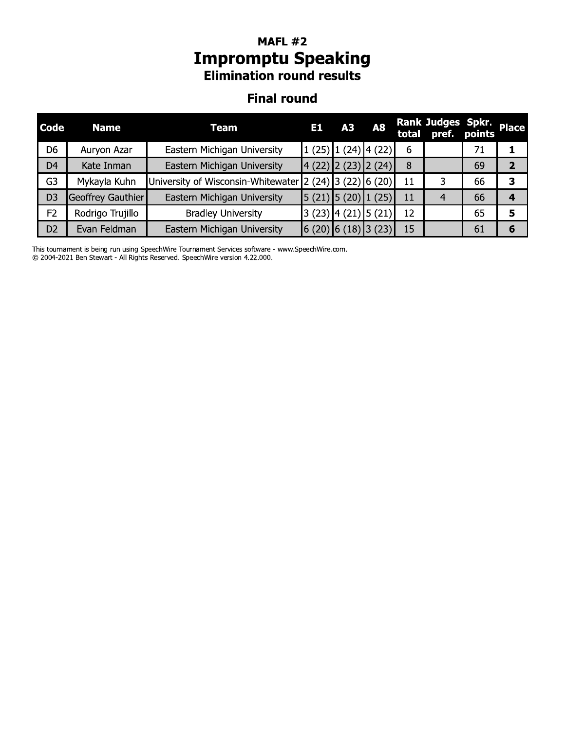### MAFL  $\#Z$ **Impromptu Speaking Elimination round results**

#### **Final round**

| Code           | <b>Name</b>       | <b>Team</b>                        | E1 | A3 | <b>A8</b>                                                                  |    | Rank Judges Spkr.<br>total pref. | points | <b>Place</b> |
|----------------|-------------------|------------------------------------|----|----|----------------------------------------------------------------------------|----|----------------------------------|--------|--------------|
| D <sub>6</sub> | Auryon Azar       | Eastern Michigan University        |    |    | $1(25)$ $1(24)$ $4(22)$                                                    | 6  |                                  | 71     | 1            |
| D <sub>4</sub> | Kate Inman        | Eastern Michigan University        |    |    | 4 (22) 2 (23) 2 (24)                                                       | 8  |                                  | 69     | $\mathbf{2}$ |
| G <sub>3</sub> | Mykayla Kuhn      | University of Wisconsin-Whitewater |    |    | $\left 2\right\rangle(24)\left 3\right\rangle(22)\left 6\right\rangle(20)$ | 11 | 3                                | 66     | 3            |
| D <sub>3</sub> | Geoffrey Gauthier | Eastern Michigan University        |    |    | $\left 5(21)\right 5(20)\right 1(25)$                                      | 11 | $\overline{4}$                   | 66     | 4            |
| F <sub>2</sub> | Rodrigo Trujillo  | <b>Bradley University</b>          |    |    | $(23)$ $(4 (21)$ $(5 (21)$                                                 | 12 |                                  | 65     | 5            |
| D <sub>2</sub> | Evan Feldman      | Eastern Michigan University        |    |    | $(6(20)$ 6 (18) 3 (23)                                                     | 15 |                                  | 61     | 6            |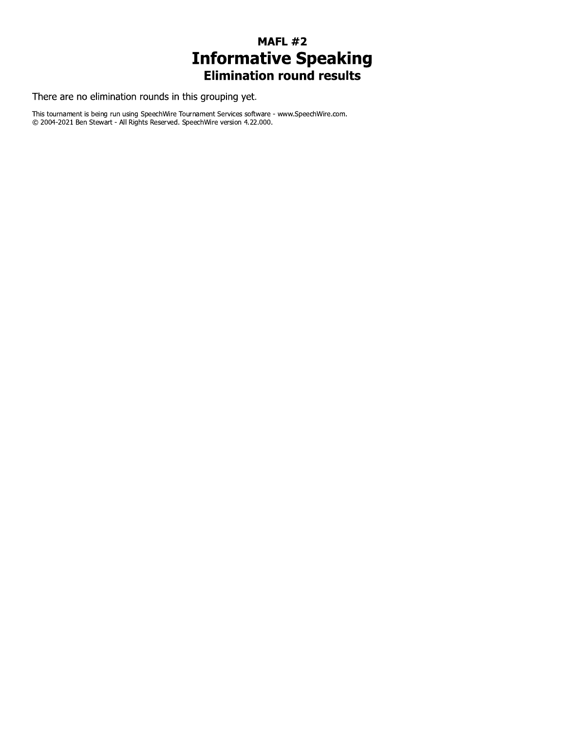# **MAFL #2 Informative Speaking**<br>Elimination round results

There are no elimination rounds in this grouping yet.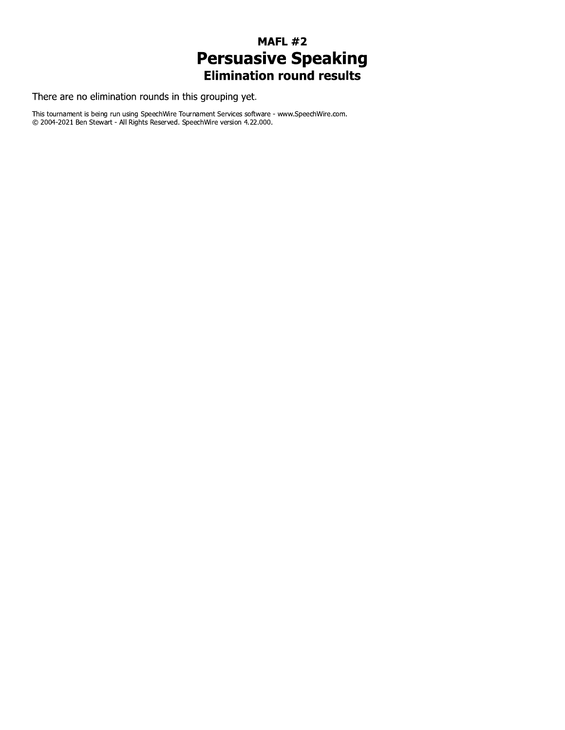## **MAFL #2 Persuasive Speaking**<br>Elimination round results

There are no elimination rounds in this grouping yet.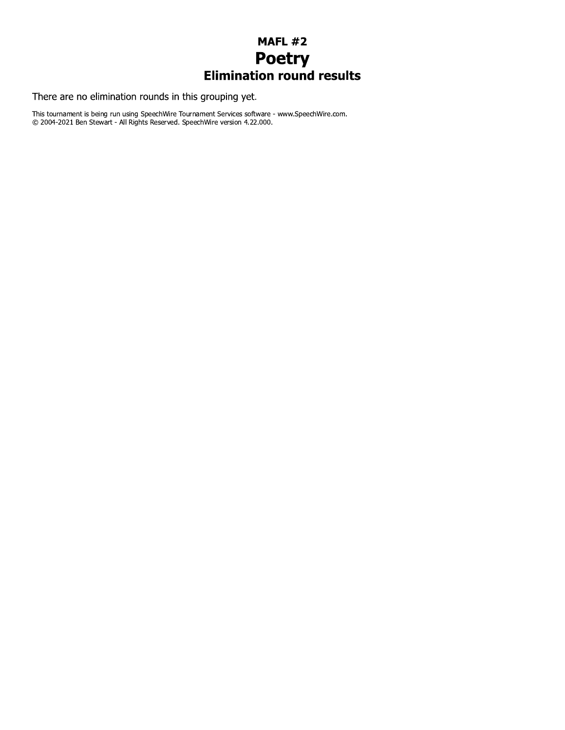## **MAFL #2 Poetry**<br>Elimination round results

There are no elimination rounds in this grouping yet.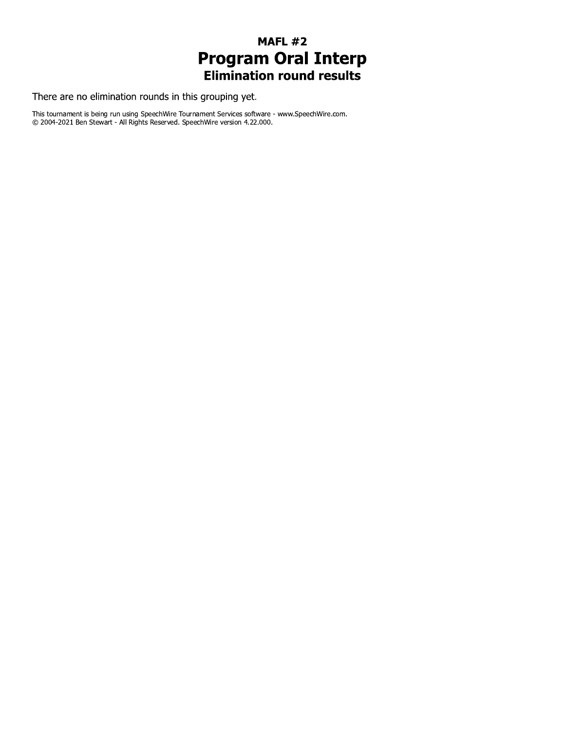## **MAFL #2 Program Oral Interp**<br>Elimination round results

There are no elimination rounds in this grouping yet.